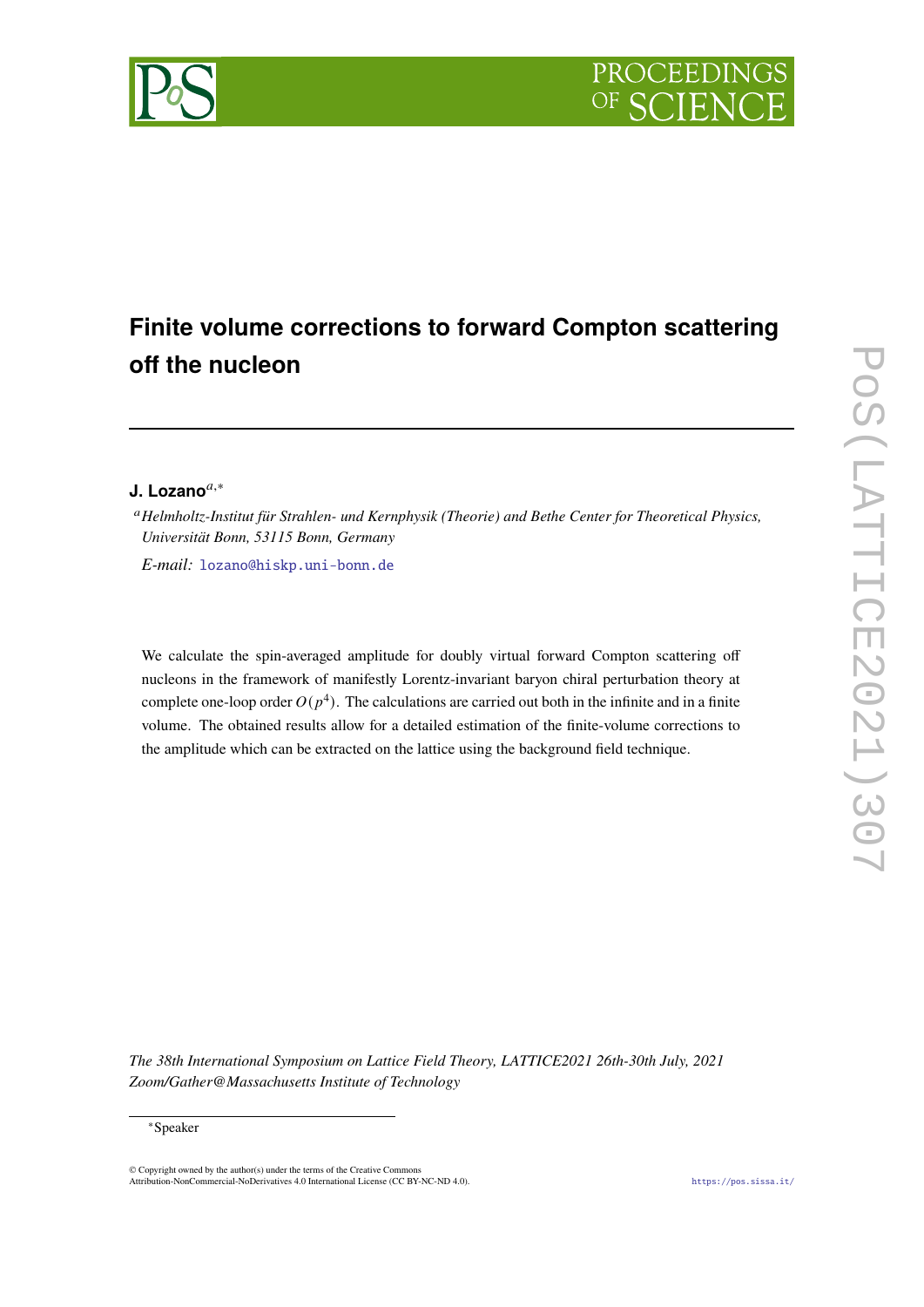

# **Finite volume corrections to forward Compton scattering off the nucleon**

# **J. Lozano**,<sup>∗</sup>

*Helmholtz-Institut für Strahlen- und Kernphysik (Theorie) and Bethe Center for Theoretical Physics, Universität Bonn, 53115 Bonn, Germany*

*E-mail:* [lozano@hiskp.uni-bonn.de](mailto:lozano@hiskp.uni-bonn.de)

We calculate the spin-averaged amplitude for doubly virtual forward Compton scattering off nucleons in the framework of manifestly Lorentz-invariant baryon chiral perturbation theory at complete one-loop order  $O(p^4)$ . The calculations are carried out both in the infinite and in a finite volume. The obtained results allow for a detailed estimation of the finite-volume corrections to the amplitude which can be extracted on the lattice using the background field technique.

*The 38th International Symposium on Lattice Field Theory, LATTICE2021 26th-30th July, 2021 Zoom/Gather@Massachusetts Institute of Technology*

© Copyright owned by the author(s) under the terms of the Creative Commons Attribution-NonCommercial-NoDerivatives 4.0 International License (CC BY-NC-ND 4.0). <https://pos.sissa.it/>

<sup>∗</sup>Speaker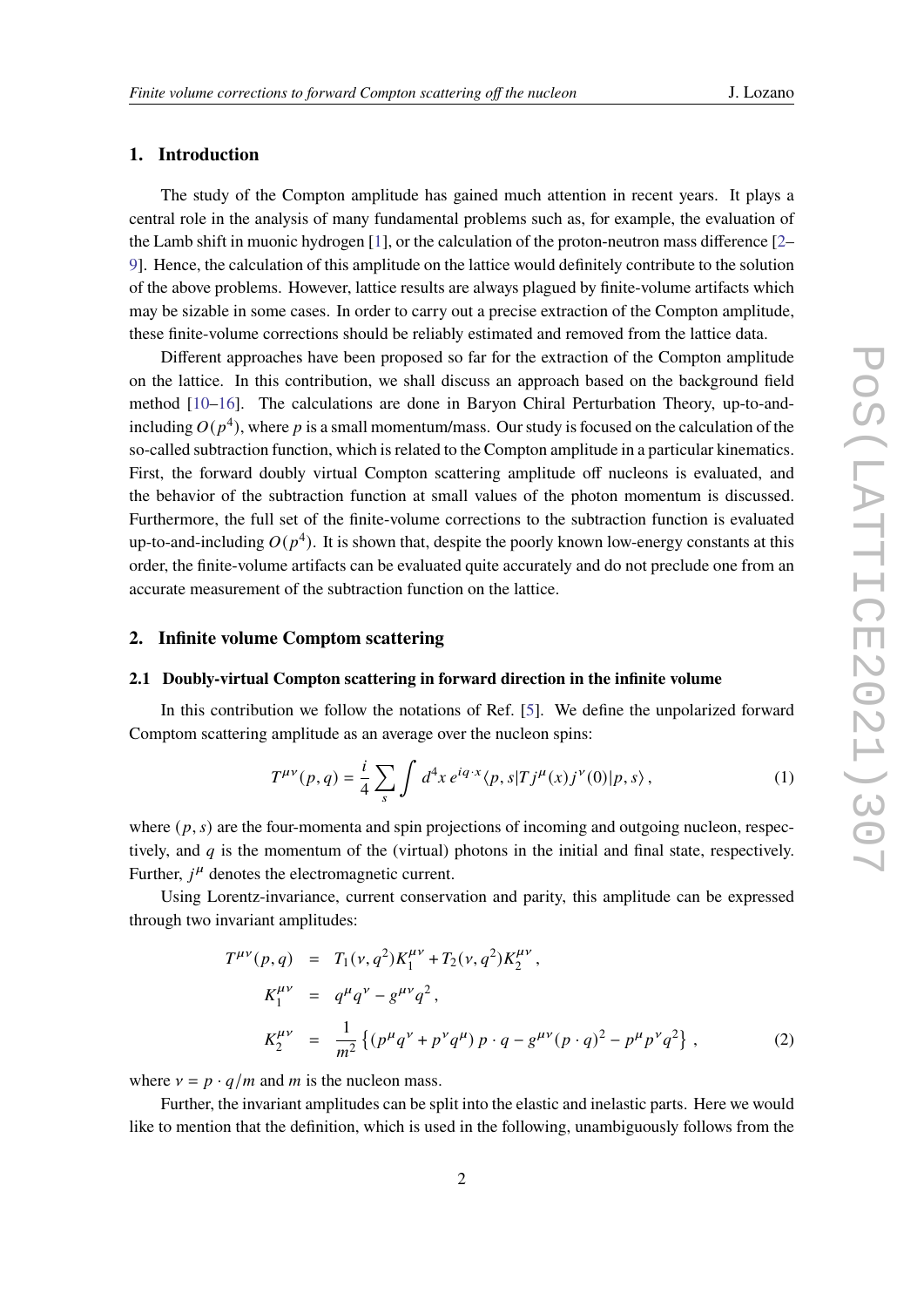# **1. Introduction**

The study of the Compton amplitude has gained much attention in recent years. It plays a central role in the analysis of many fundamental problems such as, for example, the evaluation of the Lamb shift in muonic hydrogen [\[1\]](#page-7-0), or the calculation of the proton-neutron mass difference [\[2–](#page-7-1) [9\]](#page-8-0). Hence, the calculation of this amplitude on the lattice would definitely contribute to the solution of the above problems. However, lattice results are always plagued by finite-volume artifacts which may be sizable in some cases. In order to carry out a precise extraction of the Compton amplitude, these finite-volume corrections should be reliably estimated and removed from the lattice data.

Different approaches have been proposed so far for the extraction of the Compton amplitude on the lattice. In this contribution, we shall discuss an approach based on the background field method [\[10](#page-8-1)[–16\]](#page-8-2). The calculations are done in Baryon Chiral Perturbation Theory, up-to-andincluding  $O(p^4)$ , where p is a small momentum/mass. Our study is focused on the calculation of the so-called subtraction function, which is related to the Compton amplitude in a particular kinematics. First, the forward doubly virtual Compton scattering amplitude off nucleons is evaluated, and the behavior of the subtraction function at small values of the photon momentum is discussed. Furthermore, the full set of the finite-volume corrections to the subtraction function is evaluated up-to-and-including  $O(p^4)$ . It is shown that, despite the poorly known low-energy constants at this order, the finite-volume artifacts can be evaluated quite accurately and do not preclude one from an accurate measurement of the subtraction function on the lattice.

## **2. Infinite volume Comptom scattering**

#### **2.1 Doubly-virtual Compton scattering in forward direction in the infinite volume**

In this contribution we follow the notations of Ref. [\[5\]](#page-7-2). We define the unpolarized forward Comptom scattering amplitude as an average over the nucleon spins:

$$
T^{\mu\nu}(p,q) = \frac{i}{4} \sum_{s} \int d^4x \, e^{iq \cdot x} \langle p, s | T j^{\mu}(x) j^{\nu}(0) | p, s \rangle, \tag{1}
$$

where  $(p, s)$  are the four-momenta and spin projections of incoming and outgoing nucleon, respectively, and  $q$  is the momentum of the (virtual) photons in the initial and final state, respectively. Further,  $j^{\mu}$  denotes the electromagnetic current.

Using Lorentz-invariance, current conservation and parity, this amplitude can be expressed through two invariant amplitudes:

$$
T^{\mu\nu}(p,q) = T_1(\nu, q^2)K_1^{\mu\nu} + T_2(\nu, q^2)K_2^{\mu\nu},
$$
  
\n
$$
K_1^{\mu\nu} = q^{\mu}q^{\nu} - g^{\mu\nu}q^2,
$$
  
\n
$$
K_2^{\mu\nu} = \frac{1}{m^2} \{ (p^{\mu}q^{\nu} + p^{\nu}q^{\mu}) p \cdot q - g^{\mu\nu}(p \cdot q)^2 - p^{\mu}p^{\nu}q^2 \},
$$
\n(2)

where  $v = p \cdot q/m$  and m is the nucleon mass.

Further, the invariant amplitudes can be split into the elastic and inelastic parts. Here we would like to mention that the definition, which is used in the following, unambiguously follows from the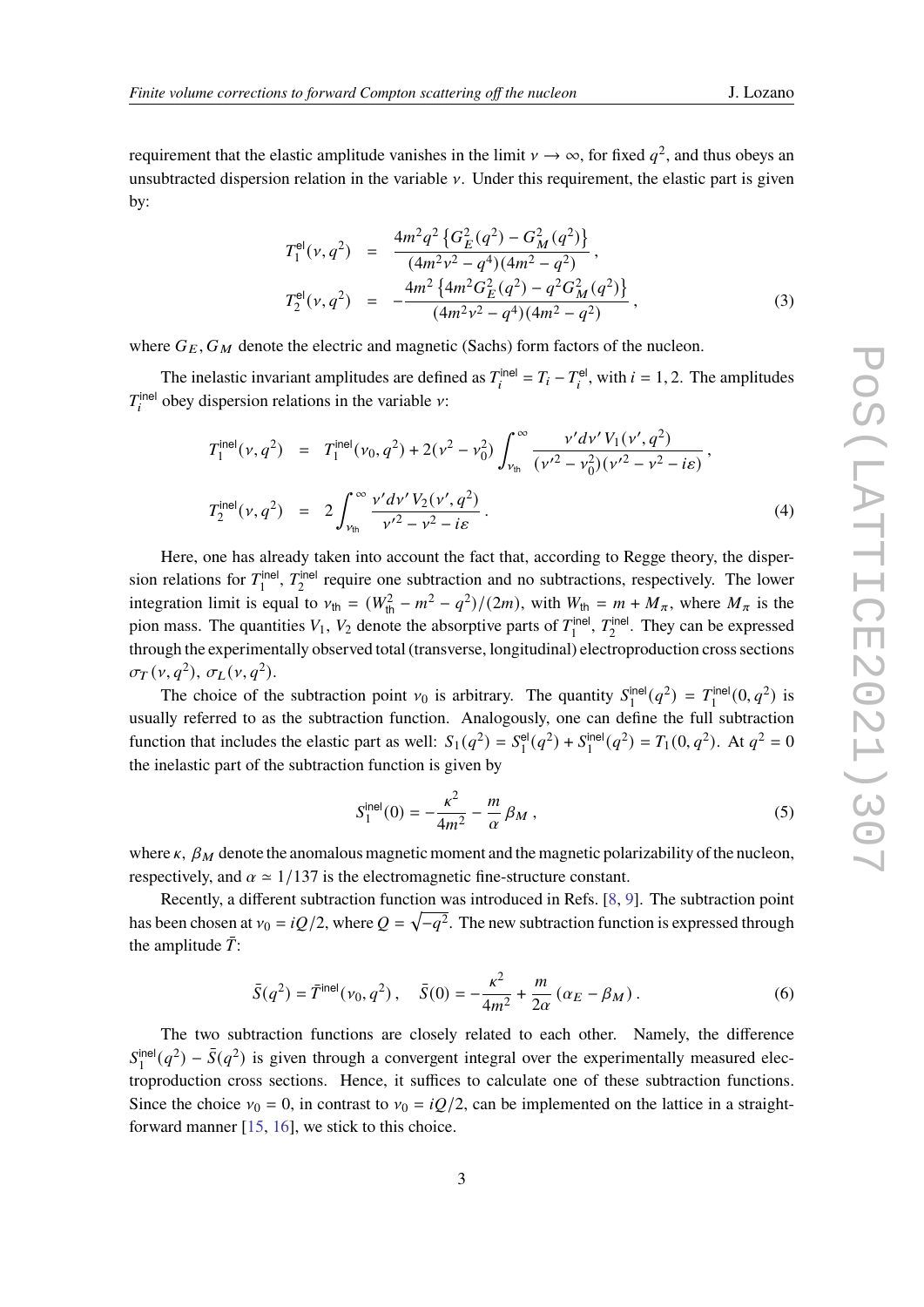requirement that the elastic amplitude vanishes in the limit  $v \to \infty$ , for fixed  $q^2$ , and thus obeys an unsubtracted dispersion relation in the variable  $\nu$ . Under this requirement, the elastic part is given by:

$$
T_1^{\text{el}}(\nu, q^2) = \frac{4m^2q^2 \left\{ G_E^2(q^2) - G_M^2(q^2) \right\}}{(4m^2\nu^2 - q^4)(4m^2 - q^2)},
$$
  
\n
$$
T_2^{\text{el}}(\nu, q^2) = -\frac{4m^2 \left\{ 4m^2 G_E^2(q^2) - q^2 G_M^2(q^2) \right\}}{(4m^2\nu^2 - q^4)(4m^2 - q^2)},
$$
\n(3)

where  $G_E$ ,  $G_M$  denote the electric and magnetic (Sachs) form factors of the nucleon.

The inelastic invariant amplitudes are defined as  $T_i^{\text{inel}} = T_i - T_i^{\text{el}}$ , with  $i = 1, 2$ . The amplitudes  $T_i^{\text{inel}}$  obey dispersion relations in the variable v:

$$
T_1^{\text{inel}}(\nu, q^2) = T_1^{\text{inel}}(\nu_0, q^2) + 2(\nu^2 - \nu_0^2) \int_{\nu_{\text{th}}}^{\infty} \frac{\nu' d\nu' V_1(\nu', q^2)}{(\nu'^2 - \nu_0^2)(\nu'^2 - \nu^2 - i\varepsilon)},
$$
  
\n
$$
T_2^{\text{inel}}(\nu, q^2) = 2 \int_{\nu_{\text{th}}}^{\infty} \frac{\nu' d\nu' V_2(\nu', q^2)}{\nu'^2 - \nu^2 - i\varepsilon}.
$$
\n(4)

Here, one has already taken into account the fact that, according to Regge theory, the dispersion relations for  $T_1^{\text{inel}}$ ,  $T_2^{\text{inel}}$  require one subtraction and no subtractions, respectively. The lower integration limit is equal to  $v_{\text{th}} = (W_{\text{th}}^2 - m^2 - q^2)/(2m)$ , with  $W_{\text{th}} = m + M_{\pi}$ , where  $M_{\pi}$  is the pion mass. The quantities  $V_1$ ,  $V_2$  denote the absorptive parts of  $T_1^{\text{inel}}$ ,  $T_2^{\text{inel}}$ . They can be expressed through the experimentally observed total (transverse, longitudinal) electroproduction cross sections  $\sigma_T(\nu, q^2), \sigma_L(\nu, q^2).$ 

The choice of the subtraction point  $v_0$  is arbitrary. The quantity  $S_1^{\text{inel}}(q^2) = T_1^{\text{inel}}(0, q^2)$  is usually referred to as the subtraction function. Analogously, one can define the full subtraction function that includes the elastic part as well:  $S_1(q^2) = S_1^{el}(q^2) + S_1^{inel}(q^2) = T_1(0, q^2)$ . At  $q^2 = 0$ the inelastic part of the subtraction function is given by

$$
S_1^{\text{inel}}(0) = -\frac{\kappa^2}{4m^2} - \frac{m}{\alpha} \beta_M , \qquad (5)
$$

where  $\kappa$ ,  $\beta_M$  denote the anomalous magnetic moment and the magnetic polarizability of the nucleon, respectively, and  $\alpha \approx 1/137$  is the electromagnetic fine-structure constant.

Recently, a different subtraction function was introduced in Refs. [\[8,](#page-7-3) [9\]](#page-8-0). The subtraction point has been chosen at  $v_0 = iQ/2$ , where  $Q = \sqrt{-q^2}$ . The new subtraction function is expressed through the amplitude  $\bar{T}$ :

$$
\bar{S}(q^2) = \bar{T}^{\text{inel}}(\nu_0, q^2), \quad \bar{S}(0) = -\frac{\kappa^2}{4m^2} + \frac{m}{2\alpha} (\alpha_E - \beta_M). \tag{6}
$$

The two subtraction functions are closely related to each other. Namely, the difference  $S_1^{\text{inel}}(q^2) - \bar{S}(q^2)$  is given through a convergent integral over the experimentally measured electroproduction cross sections. Hence, it suffices to calculate one of these subtraction functions. Since the choice  $v_0 = 0$ , in contrast to  $v_0 = iQ/2$ , can be implemented on the lattice in a straightforward manner [\[15,](#page-8-3) [16\]](#page-8-2), we stick to this choice.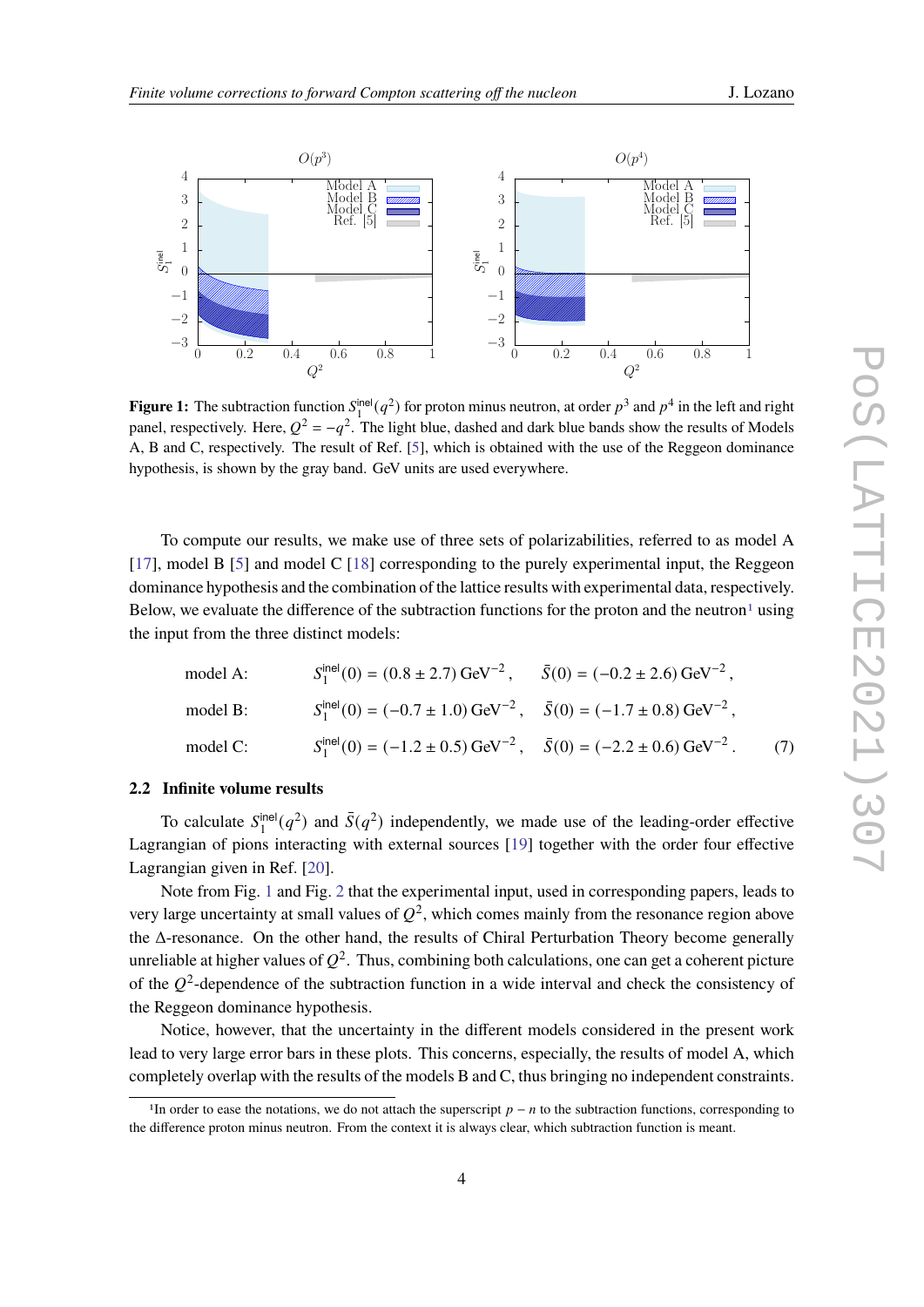

<span id="page-3-1"></span>

**Figure 1:** The subtraction function  $S_1^{\text{inel}}(q^2)$  for proton minus neutron, at order  $p^3$  and  $p^4$  in the left and right panel, respectively. Here,  $Q^2 = -q^2$ . The light blue, dashed and dark blue bands show the results of Models A, B and C, respectively. The result of Ref. [\[5\]](#page-7-2), which is obtained with the use of the Reggeon dominance hypothesis, is shown by the gray band. GeV units are used everywhere.

To compute our results, we make use of three sets of polarizabilities, referred to as model A [\[17\]](#page-8-4), model B [\[5\]](#page-7-2) and model C [\[18\]](#page-8-5) corresponding to the purely experimental input, the Reggeon dominance hypothesis and the combination of the lattice results with experimental data, respectively. Below, we evaluate the difference of the subtraction functions for the proton and the neutron<sup>[1](#page-3-0)</sup> using the input from the three distinct models:

<span id="page-3-2"></span>model A: 
$$
S_1^{\text{inel}}(0) = (0.8 \pm 2.7) \text{ GeV}^{-2}
$$
,  $\bar{S}(0) = (-0.2 \pm 2.6) \text{ GeV}^{-2}$ ,  
model B:  $S_1^{\text{inel}}(0) = (-0.7 \pm 1.0) \text{ GeV}^{-2}$ ,  $\bar{S}(0) = (-1.7 \pm 0.8) \text{ GeV}^{-2}$ ,  
model C:  $S_1^{\text{inel}}(0) = (-1.2 \pm 0.5) \text{ GeV}^{-2}$ ,  $\bar{S}(0) = (-2.2 \pm 0.6) \text{ GeV}^{-2}$ . (7)

# **2.2 Infinite volume results**

To calculate  $S_1^{\text{inel}}(q^2)$  and  $\bar{S}(q^2)$  independently, we made use of the leading-order effective Lagrangian of pions interacting with external sources [\[19\]](#page-8-6) together with the order four effective Lagrangian given in Ref. [\[20\]](#page-8-7).

Note from Fig. [1](#page-3-1) and Fig. [2](#page-4-0) that the experimental input, used in corresponding papers, leads to very large uncertainty at small values of  $Q^2$ , which comes mainly from the resonance region above the Δ-resonance. On the other hand, the results of Chiral Perturbation Theory become generally unreliable at higher values of  $Q^2$ . Thus, combining both calculations, one can get a coherent picture of the  $Q^2$ -dependence of the subtraction function in a wide interval and check the consistency of the Reggeon dominance hypothesis.

Notice, however, that the uncertainty in the different models considered in the present work lead to very large error bars in these plots. This concerns, especially, the results of model A, which completely overlap with the results of the models B and C, thus bringing no independent constraints.

<span id="page-3-0"></span><sup>&</sup>lt;sup>1</sup>In order to ease the notations, we do not attach the superscript  $p - n$  to the subtraction functions, corresponding to the difference proton minus neutron. From the context it is always clear, which subtraction function is meant.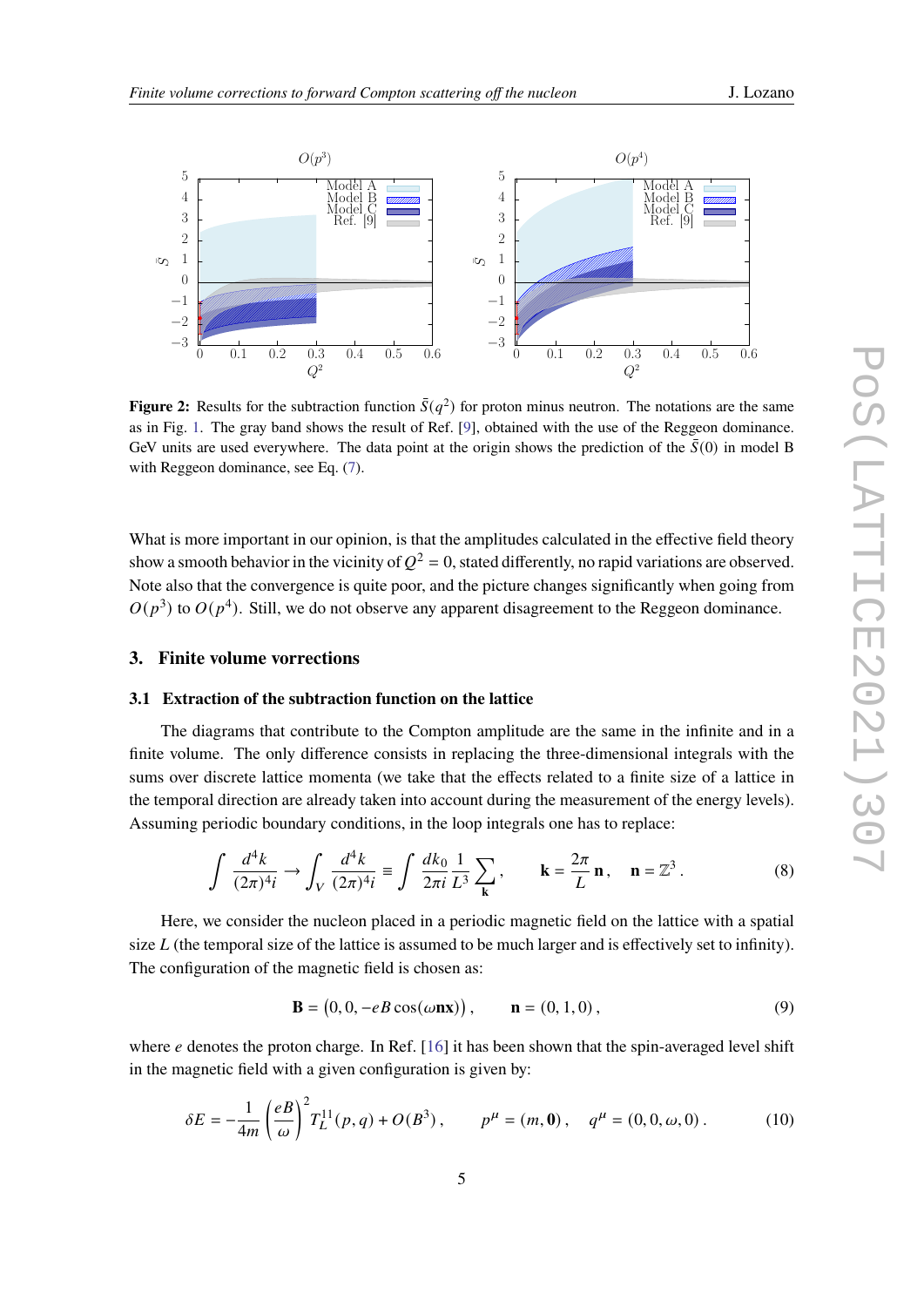

<span id="page-4-0"></span>

**Figure 2:** Results for the subtraction function  $\bar{S}(q^2)$  for proton minus neutron. The notations are the same as in Fig. [1.](#page-3-1) The gray band shows the result of Ref. [\[9\]](#page-8-0), obtained with the use of the Reggeon dominance. GeV units are used everywhere. The data point at the origin shows the prediction of the  $\bar{S}(0)$  in model B with Reggeon dominance, see Eq.  $(7)$ .

What is more important in our opinion, is that the amplitudes calculated in the effective field theory show a smooth behavior in the vicinity of  $Q^2 = 0$ , stated differently, no rapid variations are observed. Note also that the convergence is quite poor, and the picture changes significantly when going from  $O(p^3)$  to  $O(p^4)$ . Still, we do not observe any apparent disagreement to the Reggeon dominance.

## **3. Finite volume vorrections**

#### **3.1 Extraction of the subtraction function on the lattice**

The diagrams that contribute to the Compton amplitude are the same in the infinite and in a finite volume. The only difference consists in replacing the three-dimensional integrals with the sums over discrete lattice momenta (we take that the effects related to a finite size of a lattice in the temporal direction are already taken into account during the measurement of the energy levels). Assuming periodic boundary conditions, in the loop integrals one has to replace:

$$
\int \frac{d^4k}{(2\pi)^4i} \to \int_V \frac{d^4k}{(2\pi)^4i} \equiv \int \frac{dk_0}{2\pi i} \frac{1}{L^3} \sum_{\mathbf{k}} , \qquad \mathbf{k} = \frac{2\pi}{L} \mathbf{n} , \quad \mathbf{n} = \mathbb{Z}^3 .
$$
 (8)

Here, we consider the nucleon placed in a periodic magnetic field on the lattice with a spatial size  $L$  (the temporal size of the lattice is assumed to be much larger and is effectively set to infinity). The configuration of the magnetic field is chosen as:

$$
\mathbf{B} = (0, 0, -eB\cos(\omega n\mathbf{x})), \qquad \mathbf{n} = (0, 1, 0), \tag{9}
$$

where  $e$  denotes the proton charge. In Ref. [\[16\]](#page-8-2) it has been shown that the spin-averaged level shift in the magnetic field with a given configuration is given by:

$$
\delta E = -\frac{1}{4m} \left( \frac{e}{\omega} \right)^2 T_L^{11}(p, q) + O(B^3), \qquad p^{\mu} = (m, \mathbf{0}), \quad q^{\mu} = (0, 0, \omega, 0). \tag{10}
$$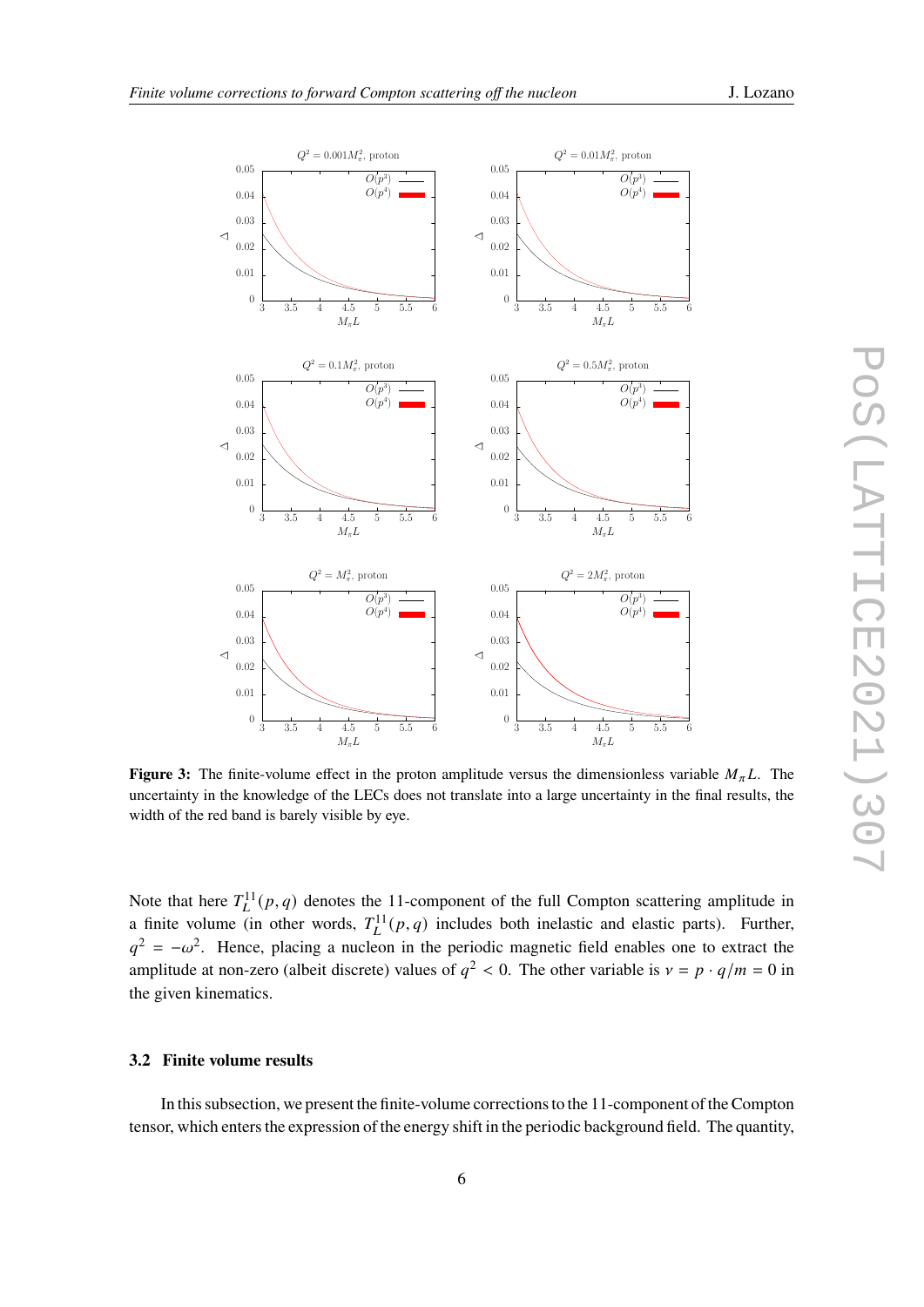<span id="page-5-0"></span>

**Figure 3:** The finite-volume effect in the proton amplitude versus the dimensionless variable  $M_{\pi}L$ . The uncertainty in the knowledge of the LECs does not translate into a large uncertainty in the final results, the width of the red band is barely visible by eye.

Note that here  $T_L^{11}(p,q)$  denotes the 11-component of the full Compton scattering amplitude in a finite volume (in other words,  $T_L^{11}(p,q)$  includes both inelastic and elastic parts). Further,  $q^2 = -\omega^2$ . Hence, placing a nucleon in the periodic magnetic field enables one to extract the amplitude at non-zero (albeit discrete) values of  $q^2 < 0$ . The other variable is  $v = p \cdot q/m = 0$  in the given kinematics.

#### **3.2 Finite volume results**

In this subsection, we present the finite-volume corrections to the 11-component of the Compton tensor, which enters the expression of the energy shift in the periodic background field. The quantity,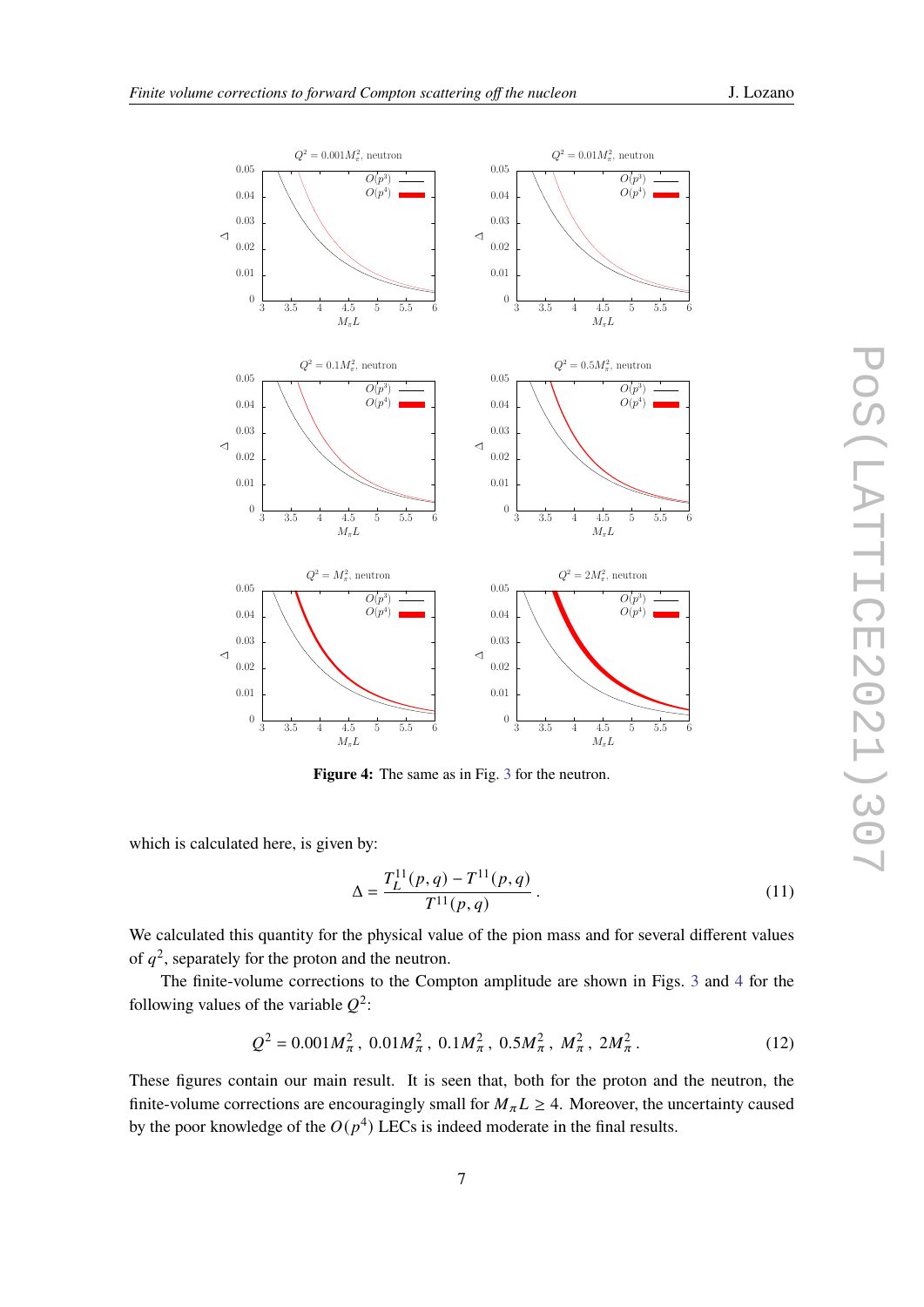<span id="page-6-0"></span>

**Figure 4:** The same as in Fig. [3](#page-5-0) for the neutron.

 $\frac{1}{3}$ 

0.01

 $M_{\pi}L$ 

3 3.5 4 4.5 5 5.5 6

which is calculated here, is given by:

 $\begin{smallmatrix}0&1\\3\end{smallmatrix}$ 

0.01

$$
\Delta = \frac{T_L^{11}(p,q) - T^{11}(p,q)}{T^{11}(p,q)}.
$$
\n(11)

 $M_{\overline{v}}L$ 

3 3.5 4 4.5 5 5.5 6

We calculated this quantity for the physical value of the pion mass and for several different values of  $q^2$ , separately for the proton and the neutron.

The finite-volume corrections to the Compton amplitude are shown in Figs. [3](#page-5-0) and [4](#page-6-0) for the following values of the variable  $Q^2$ :

$$
Q^{2} = 0.001M_{\pi}^{2}, \ 0.01M_{\pi}^{2}, \ 0.1M_{\pi}^{2}, \ 0.5M_{\pi}^{2}, \ M_{\pi}^{2}, \ 2M_{\pi}^{2}.
$$
 (12)

These figures contain our main result. It is seen that, both for the proton and the neutron, the finite-volume corrections are encouragingly small for  $M_{\pi}L \geq 4$ . Moreover, the uncertainty caused by the poor knowledge of the  $O(p^4)$  LECs is indeed moderate in the final results.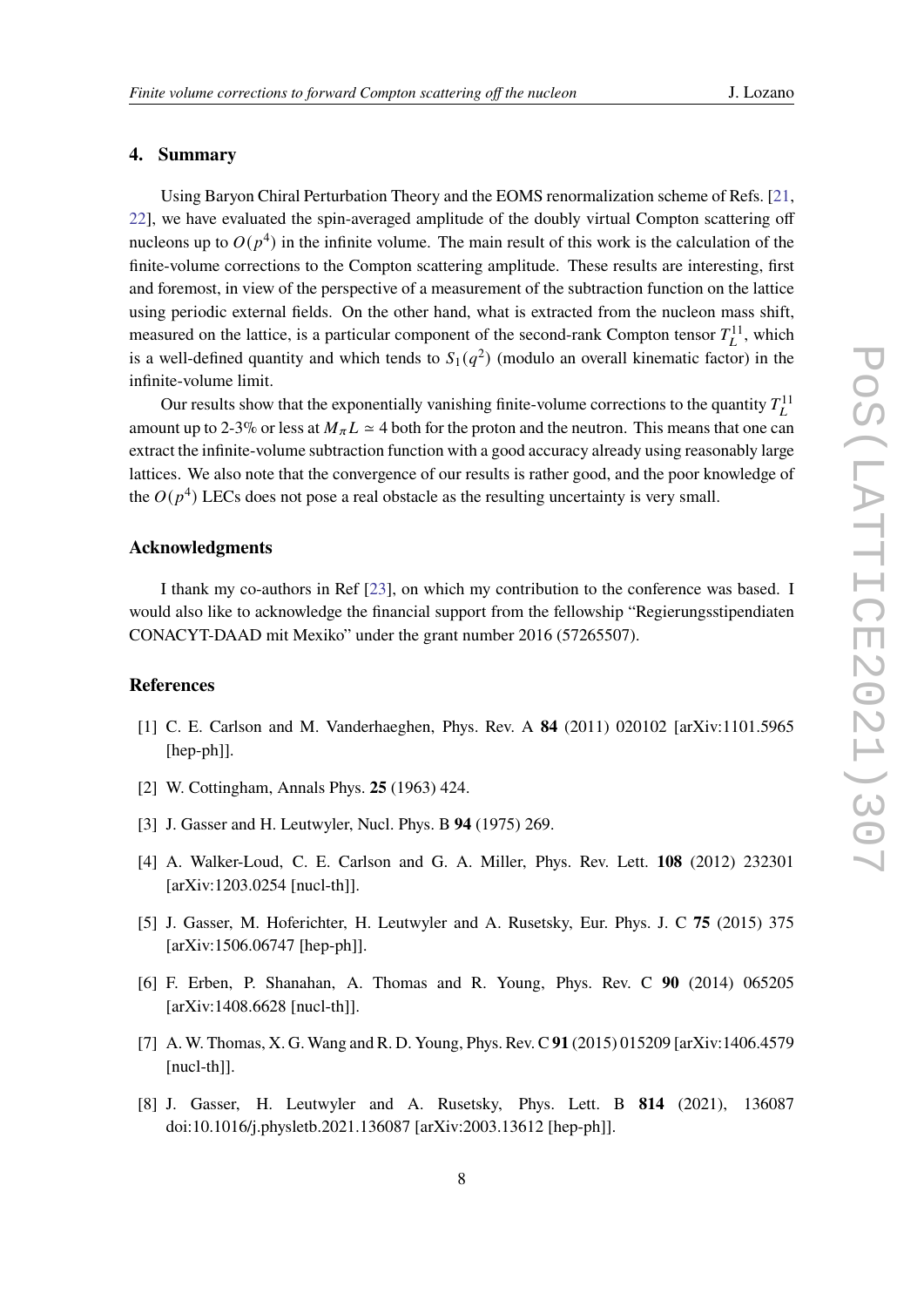## **4. Summary**

Using Baryon Chiral Perturbation Theory and the EOMS renormalization scheme of Refs. [\[21,](#page-8-8) [22\]](#page-8-9), we have evaluated the spin-averaged amplitude of the doubly virtual Compton scattering off nucleons up to  $O(p^4)$  in the infinite volume. The main result of this work is the calculation of the finite-volume corrections to the Compton scattering amplitude. These results are interesting, first and foremost, in view of the perspective of a measurement of the subtraction function on the lattice using periodic external fields. On the other hand, what is extracted from the nucleon mass shift, measured on the lattice, is a particular component of the second-rank Compton tensor  $T_L^{11}$ , which is a well-defined quantity and which tends to  $S_1 (q^2)$  (modulo an overall kinematic factor) in the infinite-volume limit.

Our results show that the exponentially vanishing finite-volume corrections to the quantity  $T_L^{11}$ amount up to 2-3% or less at  $M_{\pi}L \simeq 4$  both for the proton and the neutron. This means that one can extract the infinite-volume subtraction function with a good accuracy already using reasonably large lattices. We also note that the convergence of our results is rather good, and the poor knowledge of the  $O(p^4)$  LECs does not pose a real obstacle as the resulting uncertainty is very small.

#### **Acknowledgments**

I thank my co-authors in Ref [\[23\]](#page-8-10), on which my contribution to the conference was based. I would also like to acknowledge the financial support from the fellowship "Regierungsstipendiaten CONACYT-DAAD mit Mexiko" under the grant number 2016 (57265507).

#### **References**

- <span id="page-7-0"></span>[1] C. E. Carlson and M. Vanderhaeghen, Phys. Rev. A **84** (2011) 020102 [arXiv:1101.5965 [hep-ph]].
- <span id="page-7-1"></span>[2] W. Cottingham, Annals Phys. **25** (1963) 424.
- [3] J. Gasser and H. Leutwyler, Nucl. Phys. B **94** (1975) 269.
- [4] A. Walker-Loud, C. E. Carlson and G. A. Miller, Phys. Rev. Lett. **108** (2012) 232301 [arXiv:1203.0254 [nucl-th]].
- <span id="page-7-2"></span>[5] J. Gasser, M. Hoferichter, H. Leutwyler and A. Rusetsky, Eur. Phys. J. C **75** (2015) 375 [arXiv:1506.06747 [hep-ph]].
- [6] F. Erben, P. Shanahan, A. Thomas and R. Young, Phys. Rev. C **90** (2014) 065205 [arXiv:1408.6628 [nucl-th]].
- [7] A. W. Thomas, X. G. Wang and R. D. Young, Phys. Rev. C **91** (2015) 015209 [arXiv:1406.4579 [nucl-th]].
- <span id="page-7-3"></span>[8] J. Gasser, H. Leutwyler and A. Rusetsky, Phys. Lett. B **814** (2021), 136087 doi:10.1016/j.physletb.2021.136087 [arXiv:2003.13612 [hep-ph]].